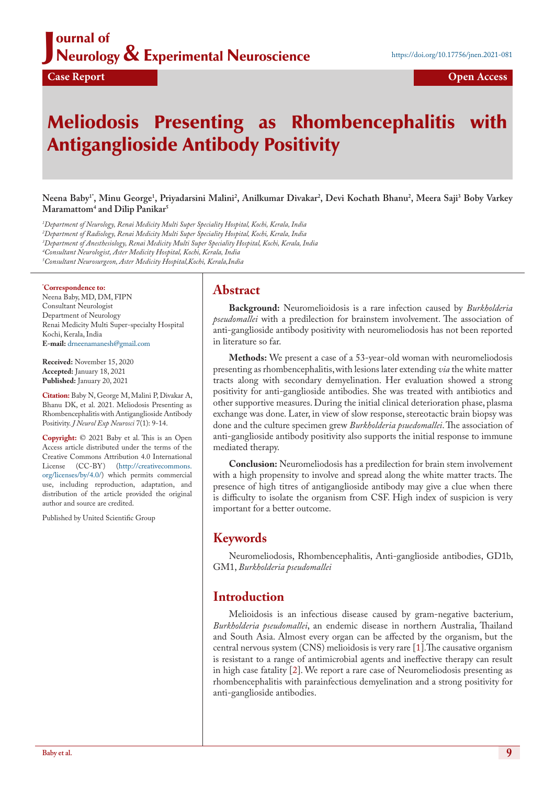## J ournal of Neurology & Experimental Neuroscience

# Meliodosis Presenting as Rhombencephalitis with Antiganglioside Antibody Positivity

 $N$ eena Baby<sup>1</sup>", Minu George<sup>1</sup>, Priyadarsini Malini<sup>2</sup>, Anilkumar Divakar<sup>2</sup>, Devi Kochath Bhanu<sup>2</sup>, Meera Saji<sup>3</sup> Boby Varkey **Maramattom4 and Dilip Panikar5**

 *Department of Neurology, Renai Medicity Multi Super Speciality Hospital, Kochi, Kerala, India Department of Radiology, Renai Medicity Multi Super Speciality Hospital, Kochi, Kerala, India Department of Anesthesiology, Renai Medicity Multi Super Speciality Hospital, Kochi, Kerala, India Consultant Neurologist, Aster Medicity Hospital, Kochi, Kerala, India Consultant Neurosurgeon, Aster Medicity Hospital,Kochi, Kerala,India*

### **\* Correspondence to:**

Neena Baby, MD, DM, FIPN Consultant Neurologist Department of Neurology Renai Medicity Multi Super-specialty Hospital Kochi, Kerala, India **E-mail:** drneenamanesh@gmail.com

**Received:** November 15, 2020 **Accepted:** January 18, 2021 **Published:** January 20, 2021

**Citation:** Baby N, George M, Malini P, Divakar A, Bhanu DK, et al. 2021. Meliodosis Presenting as Rhombencephalitis with Antiganglioside Antibody Positivity. *J Neurol Exp Neurosci* 7(1): 9-14.

**Copyright:** © 2021 Baby et al. This is an Open Access article distributed under the terms of the Creative Commons Attribution 4.0 International License (CC-BY) (http://creativecommons. org/licenses/by/4.0/) which permits commercial use, including reproduction, adaptation, and distribution of the article provided the original author and source are credited.

Published by United Scientific Group

## **Abstract**

**Background:** Neuromelioidosis is a rare infection caused by *Burkholderia pseudomallei* with a predilection for brainstem involvement. The association of anti-ganglioside antibody positivity with neuromeliodosis has not been reported in literature so far.

**Methods:** We present a case of a 53-year-old woman with neuromeliodosis presenting as rhombencephalitis, with lesions later extending *via* the white matter tracts along with secondary demyelination. Her evaluation showed a strong positivity for anti-ganglioside antibodies. She was treated with antibiotics and other supportive measures. During the initial clinical deterioration phase, plasma exchange was done. Later, in view of slow response, stereotactic brain biopsy was done and the culture specimen grew *Burkholderia psuedomallei*. The association of anti-ganglioside antibody positivity also supports the initial response to immune mediated therapy.

**Conclusion:** Neuromeliodosis has a predilection for brain stem involvement with a high propensity to involve and spread along the white matter tracts. The presence of high titres of antiganglioside antibody may give a clue when there is difficulty to isolate the organism from CSF. High index of suspicion is very important for a better outcome.

## **Keywords**

Neuromeliodosis, Rhombencephalitis, Anti-ganglioside antibodies, GD1b, GM1, *Burkholderia pseudomallei*

## **Introduction**

Melioidosis is an infectious disease caused by gram-negative bacterium, *Burkholderia pseudomallei*, an endemic disease in northern Australia, Thailand and South Asia. Almost every organ can be affected by the organism, but the central nervous system (CNS) melioidosis is very rare [1].The causative organism is resistant to a range of antimicrobial agents and ineffective therapy can result in high case fatality [2]. We report a rare case of Neuromeliodosis presenting as rhombencephalitis with parainfectious demyelination and a strong positivity for anti-ganglioside antibodies.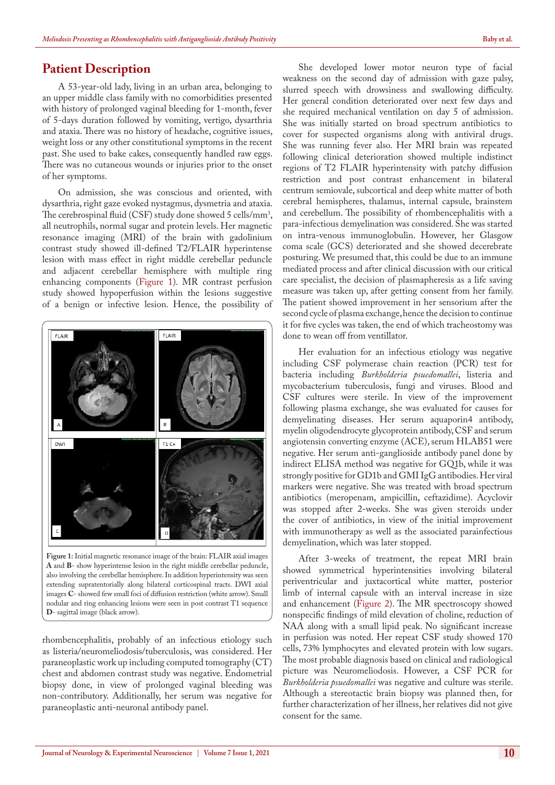## **Patient Description**

A 53-year-old lady, living in an urban area, belonging to an upper middle class family with no comorbidities presented with history of prolonged vaginal bleeding for 1-month, fever of 5-days duration followed by vomiting, vertigo, dysarthria and ataxia. There was no history of headache, cognitive issues, weight loss or any other constitutional symptoms in the recent past. She used to bake cakes, consequently handled raw eggs. There was no cutaneous wounds or injuries prior to the onset of her symptoms.

On admission, she was conscious and oriented, with dysarthria, right gaze evoked nystagmus, dysmetria and ataxia. The cerebrospinal fluid (CSF) study done showed 5 cells/mm<sup>3</sup>, all neutrophils, normal sugar and protein levels. Her magnetic resonance imaging (MRI) of the brain with gadolinium contrast study showed ill-defined T2/FLAIR hyperintense lesion with mass effect in right middle cerebellar peduncle and adjacent cerebellar hemisphere with multiple ring enhancing components (Figure 1). MR contrast perfusion study showed hypoperfusion within the lesions suggestive of a benign or infective lesion. Hence, the possibility of



**Figure 1:** Initial magnetic resonance image of the brain: FLAIR axial images **A** and **B**- show hyperintense lesion in the right middle cerebellar peduncle, also involving the cerebellar hemisphere. In addition hyperintensity was seen extending supratentorially along bilateral corticospinal tracts. DWI axial images **C**- showed few small foci of diffusion restriction (white arrow). Small nodular and ring enhancing lesions were seen in post contrast T1 sequence **D**- sagittal image (black arrow).

rhombencephalitis, probably of an infectious etiology such as listeria/neuromeliodosis/tuberculosis, was considered. Her paraneoplastic work up including computed tomography (CT) chest and abdomen contrast study was negative. Endometrial biopsy done, in view of prolonged vaginal bleeding was non-contributory. Additionally, her serum was negative for paraneoplastic anti-neuronal antibody panel.

She developed lower motor neuron type of facial weakness on the second day of admission with gaze palsy, slurred speech with drowsiness and swallowing difficulty. Her general condition deteriorated over next few days and she required mechanical ventilation on day 5 of admission. She was initially started on broad spectrum antibiotics to cover for suspected organisms along with antiviral drugs. She was running fever also. Her MRI brain was repeated following clinical deterioration showed multiple indistinct regions of T2 FLAIR hyperintensity with patchy diffusion restriction and post contrast enhancement in bilateral centrum semiovale, subcortical and deep white matter of both cerebral hemispheres, thalamus, internal capsule, brainstem and cerebellum. The possibility of rhombencephalitis with a para-infectious demyelination was considered. She was started on intra-venous immunoglobulin. However, her Glasgow coma scale (GCS) deteriorated and she showed decerebrate posturing. We presumed that, this could be due to an immune mediated process and after clinical discussion with our critical care specialist, the decision of plasmapheresis as a life saving measure was taken up, after getting consent from her family. The patient showed improvement in her sensorium after the second cycle of plasma exchange, hence the decision to continue it for five cycles was taken, the end of which tracheostomy was done to wean off from ventillator.

Her evaluation for an infectious etiology was negative including CSF polymerase chain reaction (PCR) test for bacteria including *Burkholderia psuedomallei*, listeria and mycobacterium tuberculosis, fungi and viruses. Blood and CSF cultures were sterile. In view of the improvement following plasma exchange, she was evaluated for causes for demyelinating diseases. Her serum aquaporin4 antibody, myelin oligodendrocyte glycoprotein antibody, CSF and serum angiotensin converting enzyme (ACE), serum HLAB51 were negative. Her serum anti-ganglioside antibody panel done by indirect ELISA method was negative for GQ1b, while it was strongly positive for GD1b and GMI IgG antibodies. Her viral markers were negative. She was treated with broad spectrum antibiotics (meropenam, ampicillin, ceftazidime). Acyclovir was stopped after 2-weeks. She was given steroids under the cover of antibiotics, in view of the initial improvement with immunotherapy as well as the associated parainfectious demyelination, which was later stopped.

After 3-weeks of treatment, the repeat MRI brain showed symmetrical hyperintensities involving bilateral periventricular and juxtacortical white matter, posterior limb of internal capsule with an interval increase in size and enhancement (Figure 2). The MR spectroscopy showed nonspecific findings of mild elevation of choline, reduction of NAA along with a small lipid peak. No significant increase in perfusion was noted. Her repeat CSF study showed 170 cells, 73% lymphocytes and elevated protein with low sugars. The most probable diagnosis based on clinical and radiological picture was Neuromeliodosis. However, a CSF PCR for *Burkholderia psuedomallei* was negative and culture was sterile. Although a stereotactic brain biopsy was planned then, for further characterization of her illness, her relatives did not give consent for the same.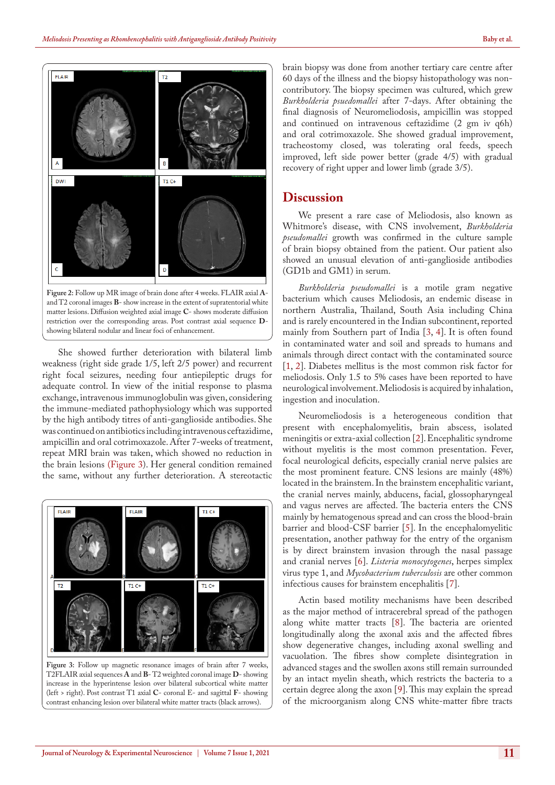

She showed further deterioration with bilateral limb weakness (right side grade 1/5, left 2/5 power) and recurrent right focal seizures, needing four antiepileptic drugs for adequate control. In view of the initial response to plasma exchange, intravenous immunoglobulin was given, considering the immune-mediated pathophysiology which was supported by the high antibody titres of anti-ganglioside antibodies. She was continued on antibiotics including intravenous ceftazidime, ampicillin and oral cotrimoxazole. After 7-weeks of treatment, repeat MRI brain was taken, which showed no reduction in the brain lesions (Figure 3). Her general condition remained the same, without any further deterioration. A stereotactic



**Figure 3:** Follow up magnetic resonance images of brain after 7 weeks, T2FLAIR axial sequences **A** and **B**- T2 weighted coronal image **D**- showing increase in the hyperintense lesion over bilateral subcortical white matter (left > right). Post contrast T1 axial **C**- coronal E- and sagittal **F**- showing contrast enhancing lesion over bilateral white matter tracts (black arrows).

brain biopsy was done from another tertiary care centre after 60 days of the illness and the biopsy histopathology was noncontributory. The biopsy specimen was cultured, which grew *Burkholderia psuedomallei* after 7-days. After obtaining the final diagnosis of Neuromeliodosis, ampicillin was stopped and continued on intravenous ceftazidime (2 gm iv q6h) and oral cotrimoxazole. She showed gradual improvement, tracheostomy closed, was tolerating oral feeds, speech improved, left side power better (grade 4/5) with gradual recovery of right upper and lower limb (grade 3/5).

### **Discussion**

We present a rare case of Meliodosis, also known as Whitmore's disease, with CNS involvement, *Burkholderia pseudomallei* growth was confirmed in the culture sample of brain biopsy obtained from the patient. Our patient also showed an unusual elevation of anti-ganglioside antibodies (GD1b and GM1) in serum.

*Burkholderia pseudomallei* is a motile gram negative bacterium which causes Meliodosis, an endemic disease in northern Australia, Thailand, South Asia including China and is rarely encountered in the Indian subcontinent, reported mainly from Southern part of India [3, 4]. It is often found in contaminated water and soil and spreads to humans and animals through direct contact with the contaminated source [1, 2]. Diabetes mellitus is the most common risk factor for meliodosis. Only 1.5 to 5% cases have been reported to have neurological involvement. Meliodosis is acquired by inhalation, ingestion and inoculation.

Neuromeliodosis is a heterogeneous condition that present with encephalomyelitis, brain abscess, isolated meningitis or extra-axial collection [2]. Encephalitic syndrome without myelitis is the most common presentation. Fever, focal neurological deficits, especially cranial nerve palsies are the most prominent feature. CNS lesions are mainly (48%) located in the brainstem. In the brainstem encephalitic variant, the cranial nerves mainly, abducens, facial, glossopharyngeal and vagus nerves are affected. The bacteria enters the CNS mainly by hematogenous spread and can cross the blood-brain barrier and blood-CSF barrier [5]. In the encephalomyelitic presentation, another pathway for the entry of the organism is by direct brainstem invasion through the nasal passage and cranial nerves [6]. *Listeria monocytogenes*, herpes simplex virus type 1, and *Mycobacterium tuberculosis* are other common infectious causes for brainstem encephalitis [7].

Actin based motility mechanisms have been described as the major method of intracerebral spread of the pathogen along white matter tracts [8]. The bacteria are oriented longitudinally along the axonal axis and the affected fibres show degenerative changes, including axonal swelling and vacuolation. The fibres show complete disintegration in advanced stages and the swollen axons still remain surrounded by an intact myelin sheath, which restricts the bacteria to a certain degree along the axon [9]. This may explain the spread of the microorganism along CNS white-matter fibre tracts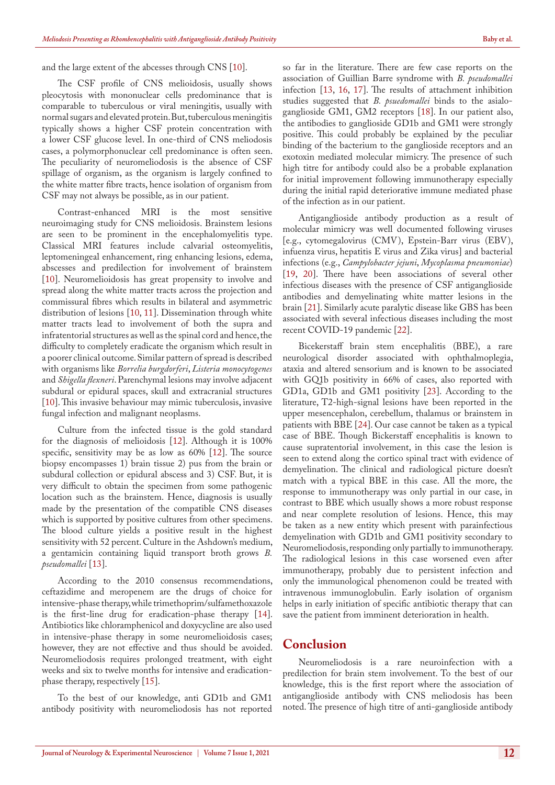and the large extent of the abcesses through CNS [10].

The CSF profile of CNS melioidosis, usually shows pleocytosis with mononuclear cells predominance that is comparable to tuberculous or viral meningitis, usually with normal sugars and elevated protein. But, tuberculous meningitis typically shows a higher CSF protein concentration with a lower CSF glucose level. In one-third of CNS meliodosis cases, a polymorphonuclear cell predominance is often seen. The peculiarity of neuromeliodosis is the absence of CSF spillage of organism, as the organism is largely confined to the white matter fibre tracts, hence isolation of organism from CSF may not always be possible, as in our patient.

Contrast-enhanced MRI is the most sensitive neuroimaging study for CNS melioidosis. Brainstem lesions are seen to be prominent in the encephalomyelitis type. Classical MRI features include calvarial osteomyelitis, leptomeningeal enhancement, ring enhancing lesions, edema, abscesses and predilection for involvement of brainstem [10]. Neuromelioidosis has great propensity to involve and spread along the white matter tracts across the projection and commissural fibres which results in bilateral and asymmetric distribution of lesions [10, 11]. Dissemination through white matter tracts lead to involvement of both the supra and infratentorial structures as well as the spinal cord and hence, the difficulty to completely eradicate the organism which result in a poorer clinical outcome. Similar pattern of spread is described with organisms like *Borrelia burgdorferi*, *Listeria monocytogenes* and *Shigella flexneri*. Parenchymal lesions may involve adjacent subdural or epidural spaces, skull and extracranial structures [10]. This invasive behaviour may mimic tuberculosis, invasive fungal infection and malignant neoplasms.

Culture from the infected tissue is the gold standard for the diagnosis of melioidosis [12]. Although it is 100% specific, sensitivity may be as low as 60% [12]. The source biopsy encompasses 1) brain tissue 2) pus from the brain or subdural collection or epidural abscess and 3) CSF. But, it is very difficult to obtain the specimen from some pathogenic location such as the brainstem. Hence, diagnosis is usually made by the presentation of the compatible CNS diseases which is supported by positive cultures from other specimens. The blood culture yields a positive result in the highest sensitivity with 52 percent. Culture in the Ashdown's medium, a gentamicin containing liquid transport broth grows *B. pseudomallei* [13].

According to the 2010 consensus recommendations, ceftazidime and meropenem are the drugs of choice for intensive-phase therapy, while trimethoprim/sulfamethoxazole is the first-line drug for eradication-phase therapy [14]. Antibiotics like chloramphenicol and doxycycline are also used in intensive-phase therapy in some neuromelioidosis cases; however, they are not effective and thus should be avoided. Neuromeliodosis requires prolonged treatment, with eight weeks and six to twelve months for intensive and eradicationphase therapy, respectively [15].

To the best of our knowledge, anti GD1b and GM1 antibody positivity with neuromeliodosis has not reported so far in the literature. There are few case reports on the association of Guillian Barre syndrome with *B. pseudomallei* infection [13, 16, 17]. The results of attachment inhibition studies suggested that *B. psuedomallei* binds to the asialoganglioside GM1, GM2 receptors [18]. In our patient also, the antibodies to ganglioside GD1b and GM1 were strongly positive. This could probably be explained by the peculiar binding of the bacterium to the ganglioside receptors and an exotoxin mediated molecular mimicry. The presence of such high titre for antibody could also be a probable explanation for initial improvement following immunotherapy especially during the initial rapid deteriorative immune mediated phase of the infection as in our patient.

Antiganglioside antibody production as a result of molecular mimicry was well documented following viruses [e.g., cytomegalovirus (CMV), Epstein-Barr virus (EBV), infuenza virus, hepatitis E virus and Zika virus] and bacterial infections (e.g., *Campylobacter jejuni*, *Mycoplasma pneumoniae*) [19, 20]. There have been associations of several other infectious diseases with the presence of CSF antiganglioside antibodies and demyelinating white matter lesions in the brain [21]. Similarly acute paralytic disease like GBS has been associated with several infectious diseases including the most recent COVID-19 pandemic [22].

Bicekerstaff brain stem encephalitis (BBE), a rare neurological disorder associated with ophthalmoplegia, ataxia and altered sensorium and is known to be associated with GQ1b positivity in 66% of cases, also reported with GD1a, GD1b and GM1 positivity [23]. According to the literature, T2-high-signal lesions have been reported in the upper mesencephalon, cerebellum, thalamus or brainstem in patients with BBE [24]. Our case cannot be taken as a typical case of BBE. Though Bickerstaff encephalitis is known to cause supratentorial involvement, in this case the lesion is seen to extend along the cortico spinal tract with evidence of demyelination. The clinical and radiological picture doesn't match with a typical BBE in this case. All the more, the response to immunotherapy was only partial in our case, in contrast to BBE which usually shows a more robust response and near complete resolution of lesions. Hence, this may be taken as a new entity which present with parainfectious demyelination with GD1b and GM1 positivity secondary to Neuromeliodosis, responding only partially to immunotherapy. The radiological lesions in this case worsened even after immunotherapy, probably due to persistent infection and only the immunological phenomenon could be treated with intravenous immunoglobulin. Early isolation of organism helps in early initiation of specific antibiotic therapy that can save the patient from imminent deterioration in health.

## **Conclusion**

Neuromeliodosis is a rare neuroinfection with a predilection for brain stem involvement. To the best of our knowledge, this is the first report where the association of antiganglioside antibody with CNS meliodosis has been noted. The presence of high titre of anti-ganglioside antibody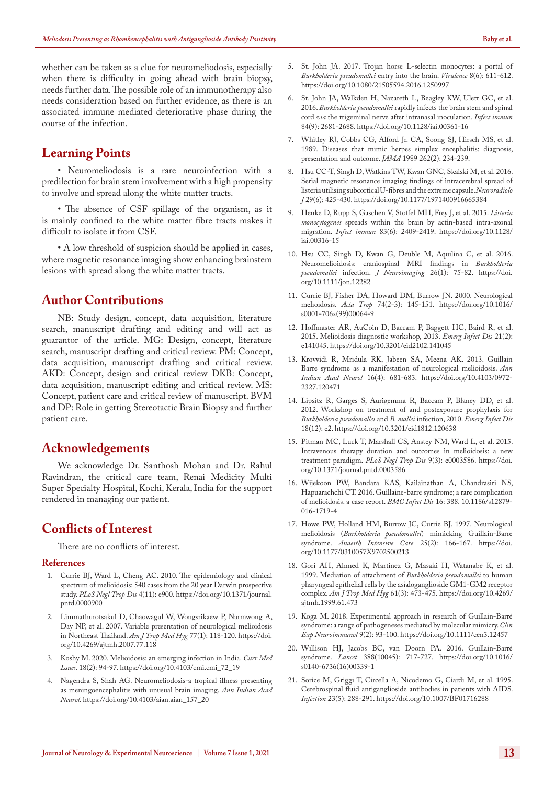whether can be taken as a clue for neuromeliodosis, especially when there is difficulty in going ahead with brain biopsy, needs further data. The possible role of an immunotherapy also needs consideration based on further evidence, as there is an associated immune mediated deteriorative phase during the course of the infection.

## **Learning Points**

• Neuromeliodosis is a rare neuroinfection with a predilection for brain stem involvement with a high propensity to involve and spread along the white matter tracts.

• The absence of CSF spillage of the organism, as it is mainly confined to the white matter fibre tracts makes it difficult to isolate it from CSF.

• A low threshold of suspicion should be applied in cases, where magnetic resonance imaging show enhancing brainstem lesions with spread along the white matter tracts.

## **Author Contributions**

NB: Study design, concept, data acquisition, literature search, manuscript drafting and editing and will act as guarantor of the article. MG: Design, concept, literature search, manuscript drafting and critical review. PM: Concept, data acquisition, manuscript drafting and critical review. AKD: Concept, design and critical review DKB: Concept, data acquisition, manuscript editing and critical review. MS: Concept, patient care and critical review of manuscript. BVM and DP: Role in getting Stereotactic Brain Biopsy and further patient care.

## **Acknowledgements**

We acknowledge Dr. Santhosh Mohan and Dr. Rahul Ravindran, the critical care team, Renai Medicity Multi Super Specialty Hospital, Kochi, Kerala, India for the support rendered in managing our patient.

## **Conflicts of Interest**

There are no conflicts of interest.

#### **References**

- 1. Currie BJ, Ward L, Cheng AC. 2010. The epidemiology and clinical spectrum of melioidosis: 540 cases from the 20 year Darwin prospective study. *PLoS Negl Trop Dis* 4(11): e900. https://doi.org/10.1371/journal. pntd.0000900
- 2. Limmathurotsakul D, Chaowagul W, Wongsrikaew P, Narmwong A, Day NP, et al. 2007. Variable presentation of neurological melioidosis in Northeast Thailand. *Am J Trop Med Hyg* 77(1): 118-120. https://doi. org/10.4269/ajtmh.2007.77.118
- 3. Koshy M. 2020. Melioidosis: an emerging infection in India. *Curr Med Issues*. 18(2): 94-97. https://doi.org/10.4103/cmi.cmi\_72\_19
- 4. Nagendra S, Shah AG. Neuromeliodosis-a tropical illness presenting as meningoencephalitis with unusual brain imaging. *Ann Indian Acad Neurol*. https://doi.org/10.4103/aian.aian\_157\_20
- 5. St. John JA. 2017. Trojan horse L-selectin monocytes: a portal of *Burkholderia pseudomallei* entry into the brain. *Virulence* 8(6): 611-612. https://doi.org/10.1080/21505594.2016.1250997
- 6. St. John JA, Walkden H, Nazareth L, Beagley KW, Ulett GC, et al. 2016. *Burkholderia pseudomallei* rapidly infects the brain stem and spinal cord *via* the trigeminal nerve after intranasal inoculation. *Infect immun* 84(9): 2681-2688. https://doi.org/10.1128/iai.00361-16
- 7. Whitley RJ, Cobbs CG, Alford Jr. CA, Soong SJ, Hirsch MS, et al. 1989. Diseases that mimic herpes simplex encephalitis: diagnosis, presentation and outcome. *JAMA* 1989 262(2): 234-239.
- 8. Hsu CC-T, Singh D, Watkins TW, Kwan GNC, Skalski M, et al. 2016. Serial magnetic resonance imaging findings of intracerebral spread of listeria utilising subcortical U-fibres and the extreme capsule. *Neuroradiolo J* 29(6): 425-430. https://doi.org/10.1177/1971400916665384
- 9. Henke D, Rupp S, Gaschen V, Stoffel MH, Frey J, et al. 2015. *Listeria monocytogenes* spreads within the brain by actin-based intra-axonal migration. *Infect immun* 83(6): 2409-2419. https://doi.org/10.1128/ iai.00316-15
- 10. Hsu CC, Singh D, Kwan G, Deuble M, Aquilina C, et al. 2016. Neuromelioidosis: craniospinal MRI findings in *Burkholderia pseudomallei* infection. *J Neuroimaging* 26(1): 75-82. https://doi. org/10.1111/jon.12282
- 11. Currie BJ, Fisher DA, Howard DM, Burrow JN. 2000. Neurological melioidosis. *Acta Trop* 74(2-3): 145-151. https://doi.org/10.1016/ s0001-706x(99)00064-9
- 12. Hoffmaster AR, AuCoin D, Baccam P, Baggett HC, Baird R, et al. 2015. Melioidosis diagnostic workshop, 2013. *Emerg Infect Dis* 21(2): e141045. https://doi.org/10.3201/eid2102.141045
- 13. Krovvidi R, Mridula RK, Jabeen SA, Meena AK. 2013. Guillain Barre syndrome as a manifestation of neurological melioidosis. *Ann Indian Acad Neurol* 16(4): 681-683. https://doi.org/10.4103/0972- 2327.120471
- 14. Lipsitz R, Garges S, Aurigemma R, Baccam P, Blaney DD, et al. 2012. Workshop on treatment of and postexposure prophylaxis for *Burkholderia pseudomallei* and *B. mallei* infection, 2010. *Emerg Infect Dis* 18(12): e2. https://doi.org/10.3201/eid1812.120638
- 15. Pitman MC, Luck T, Marshall CS, Anstey NM, Ward L, et al. 2015. Intravenous therapy duration and outcomes in melioidosis: a new treatment paradigm. *PLoS Negl Trop Dis* 9(3): e0003586. https://doi. org/10.1371/journal.pntd.0003586
- 16. Wijekoon PW, Bandara KAS, Kailainathan A, Chandrasiri NS, Hapuarachchi CT. 2016. Guillaine-barre syndrome; a rare complication of melioidosis. a case report. *BMC Infect Dis* 16: 388. 10.1186/s12879- 016-1719-4
- 17. Howe PW, Holland HM, Burrow JC, Currie BJ. 1997. Neurological melioidosis (*Burkholderia pseudomallei*) mimicking Guillain-Barre syndrome. *Anaesth Intensive Care* 25(2): 166-167. https://doi. org/10.1177/0310057X9702500213
- 18. Gori AH, Ahmed K, Martinez G, Masaki H, Watanabe K, et al. 1999. Mediation of attachment of *Burkholderia pseudomallei* to human pharyngeal epithelial cells by the asialoganglioside GM1-GM2 receptor complex. *Am J Trop Med Hyg* 61(3): 473-475. https://doi.org/10.4269/ ajtmh.1999.61.473
- 19. Koga M. 2018. Experimental approach in research of Guillain-Barré syndrome: a range of pathogeneses mediated by molecular mimicry. *Clin Exp Neuroimmunol* 9(2): 93-100. https://doi.org/10.1111/cen3.12457
- 20. Willison HJ, Jacobs BC, van Doorn PA. 2016. Guillain-Barré syndrome. *Lancet* 388(10045): 717-727. https://doi.org/10.1016/ s0140-6736(16)00339-1
- 21. Sorice M, Griggi T, Circella A, Nicodemo G, Ciardi M, et al. 1995. Cerebrospinal fluid antiganglioside antibodies in patients with AIDS. *Infection* 23(5): 288-291. https://doi.org/10.1007/BF01716288